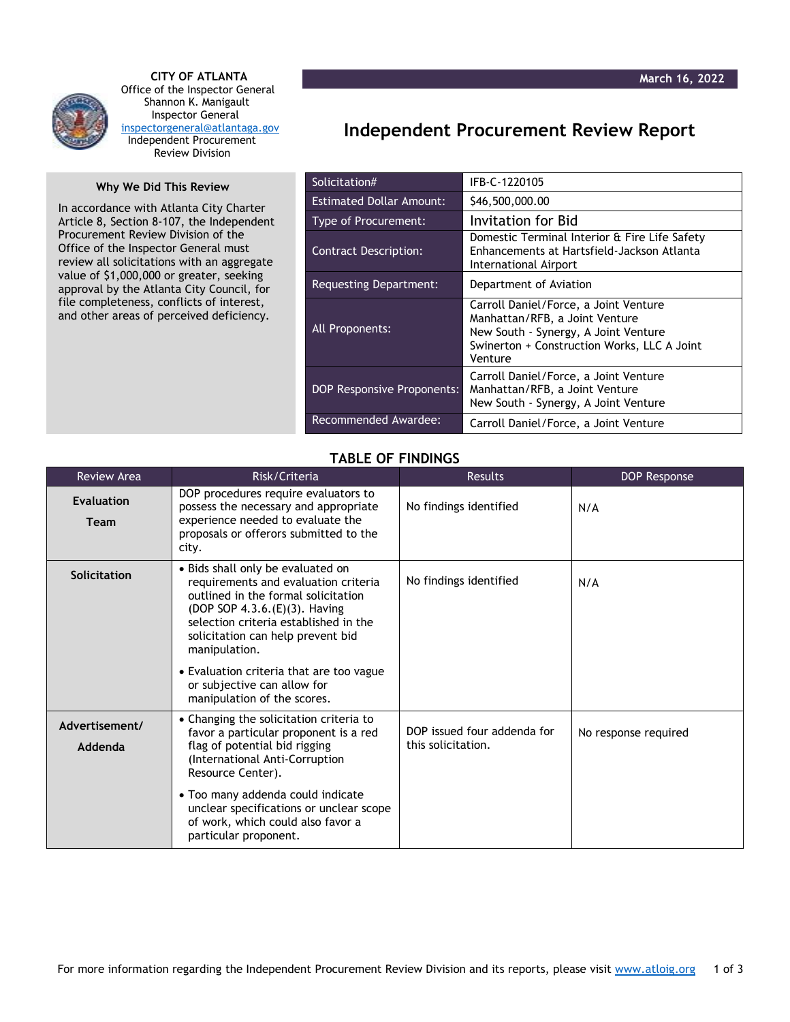

 **CITY OF ATLANTA** Office of the Inspector General Shannon K. Manigault Inspector General [inspectorgeneral@atlantaga.gov](mailto:inspectorgeneral@atlantaga.gov) Independent Procurement Review Division

## **Why We Did This Review**

In accordance with Atlanta City Charter Article 8, Section 8-107, the Independent Procurement Review Division of the Office of the Inspector General must review all solicitations with an aggregate value of \$1,000,000 or greater, seeking approval by the Atlanta City Council, for file completeness, conflicts of interest, and other areas of perceived deficiency.

## **Independent Procurement Review Report**

| Solicitation#                     | IFB-C-1220105                                                                                                                                                             |  |  |
|-----------------------------------|---------------------------------------------------------------------------------------------------------------------------------------------------------------------------|--|--|
| <b>Estimated Dollar Amount:</b>   | \$46,500,000.00                                                                                                                                                           |  |  |
| Type of Procurement:              | Invitation for Bid                                                                                                                                                        |  |  |
| <b>Contract Description:</b>      | Domestic Terminal Interior & Fire Life Safety<br>Enhancements at Hartsfield-Jackson Atlanta<br>International Airport                                                      |  |  |
| <b>Requesting Department:</b>     | Department of Aviation                                                                                                                                                    |  |  |
| All Proponents:                   | Carroll Daniel/Force, a Joint Venture<br>Manhattan/RFB, a Joint Venture<br>New South - Synergy, A Joint Venture<br>Swinerton + Construction Works, LLC A Joint<br>Venture |  |  |
| <b>DOP Responsive Proponents:</b> | Carroll Daniel/Force, a Joint Venture<br>Manhattan/RFB, a Joint Venture<br>New South - Synergy, A Joint Venture                                                           |  |  |
| Recommended Awardee:              | Carroll Daniel/Force, a Joint Venture                                                                                                                                     |  |  |

## **TABLE OF FINDINGS**

| <b>Review Area</b>        | Risk/Criteria                                                                                                                                                                                                                                                                                                                                              | <b>Results</b>                                    | DOP Response         |
|---------------------------|------------------------------------------------------------------------------------------------------------------------------------------------------------------------------------------------------------------------------------------------------------------------------------------------------------------------------------------------------------|---------------------------------------------------|----------------------|
| <b>Evaluation</b><br>Team | DOP procedures require evaluators to<br>possess the necessary and appropriate<br>experience needed to evaluate the<br>proposals or offerors submitted to the<br>city.                                                                                                                                                                                      | No findings identified                            | N/A                  |
| Solicitation              | • Bids shall only be evaluated on<br>requirements and evaluation criteria<br>outlined in the formal solicitation<br>(DOP SOP 4.3.6.(E)(3). Having<br>selection criteria established in the<br>solicitation can help prevent bid<br>manipulation.<br>• Evaluation criteria that are too vague<br>or subjective can allow for<br>manipulation of the scores. | No findings identified                            | N/A                  |
| Advertisement/<br>Addenda | • Changing the solicitation criteria to<br>favor a particular proponent is a red<br>flag of potential bid rigging<br>(International Anti-Corruption<br>Resource Center).<br>• Too many addenda could indicate<br>unclear specifications or unclear scope<br>of work, which could also favor a<br>particular proponent.                                     | DOP issued four addenda for<br>this solicitation. | No response required |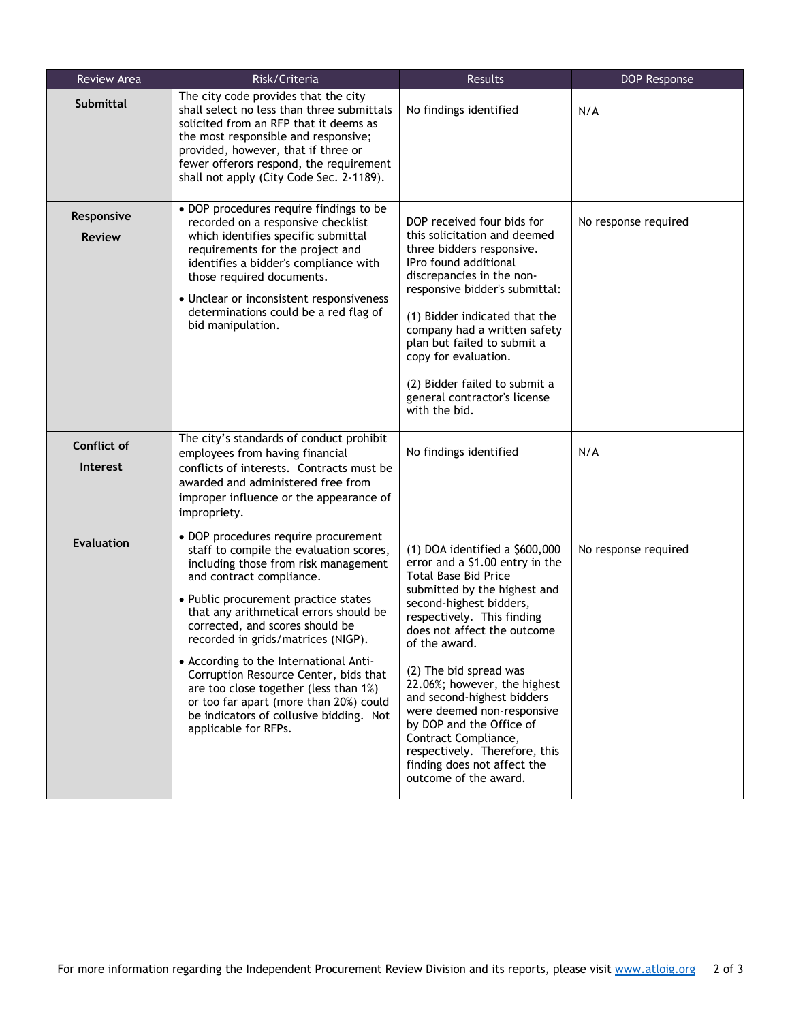| Review Area                    | Risk/Criteria                                                                                                                                                                                                                                                                                                                                                                                                                                                                                                                                           | Results                                                                                                                                                                                                                                                                                                                                                                                                                                                                                                        | DOP Response         |
|--------------------------------|---------------------------------------------------------------------------------------------------------------------------------------------------------------------------------------------------------------------------------------------------------------------------------------------------------------------------------------------------------------------------------------------------------------------------------------------------------------------------------------------------------------------------------------------------------|----------------------------------------------------------------------------------------------------------------------------------------------------------------------------------------------------------------------------------------------------------------------------------------------------------------------------------------------------------------------------------------------------------------------------------------------------------------------------------------------------------------|----------------------|
| <b>Submittal</b>               | The city code provides that the city<br>shall select no less than three submittals<br>solicited from an RFP that it deems as<br>the most responsible and responsive;<br>provided, however, that if three or<br>fewer offerors respond, the requirement<br>shall not apply (City Code Sec. 2-1189).                                                                                                                                                                                                                                                      | No findings identified                                                                                                                                                                                                                                                                                                                                                                                                                                                                                         | N/A                  |
| Responsive<br><b>Review</b>    | • DOP procedures require findings to be<br>recorded on a responsive checklist<br>which identifies specific submittal<br>requirements for the project and<br>identifies a bidder's compliance with<br>those required documents.<br>• Unclear or inconsistent responsiveness<br>determinations could be a red flag of<br>bid manipulation.                                                                                                                                                                                                                | DOP received four bids for<br>this solicitation and deemed<br>three bidders responsive.<br>IPro found additional<br>discrepancies in the non-<br>responsive bidder's submittal:<br>(1) Bidder indicated that the<br>company had a written safety<br>plan but failed to submit a<br>copy for evaluation.<br>(2) Bidder failed to submit a<br>general contractor's license<br>with the bid.                                                                                                                      | No response required |
| Conflict of<br><b>Interest</b> | The city's standards of conduct prohibit<br>employees from having financial<br>conflicts of interests. Contracts must be<br>awarded and administered free from<br>improper influence or the appearance of<br>impropriety.                                                                                                                                                                                                                                                                                                                               | No findings identified                                                                                                                                                                                                                                                                                                                                                                                                                                                                                         | N/A                  |
| <b>Evaluation</b>              | • DOP procedures require procurement<br>staff to compile the evaluation scores,<br>including those from risk management<br>and contract compliance.<br>• Public procurement practice states<br>that any arithmetical errors should be<br>corrected, and scores should be<br>recorded in grids/matrices (NIGP).<br>• According to the International Anti-<br>Corruption Resource Center, bids that<br>are too close together (less than 1%)<br>or too far apart (more than 20%) could<br>be indicators of collusive bidding. Not<br>applicable for RFPs. | $(1)$ DOA identified a \$600,000<br>error and a \$1.00 entry in the<br><b>Total Base Bid Price</b><br>submitted by the highest and<br>second-highest bidders,<br>respectively. This finding<br>does not affect the outcome<br>of the award.<br>(2) The bid spread was<br>22.06%; however, the highest<br>and second-highest bidders<br>were deemed non-responsive<br>by DOP and the Office of<br>Contract Compliance,<br>respectively. Therefore, this<br>finding does not affect the<br>outcome of the award. | No response required |